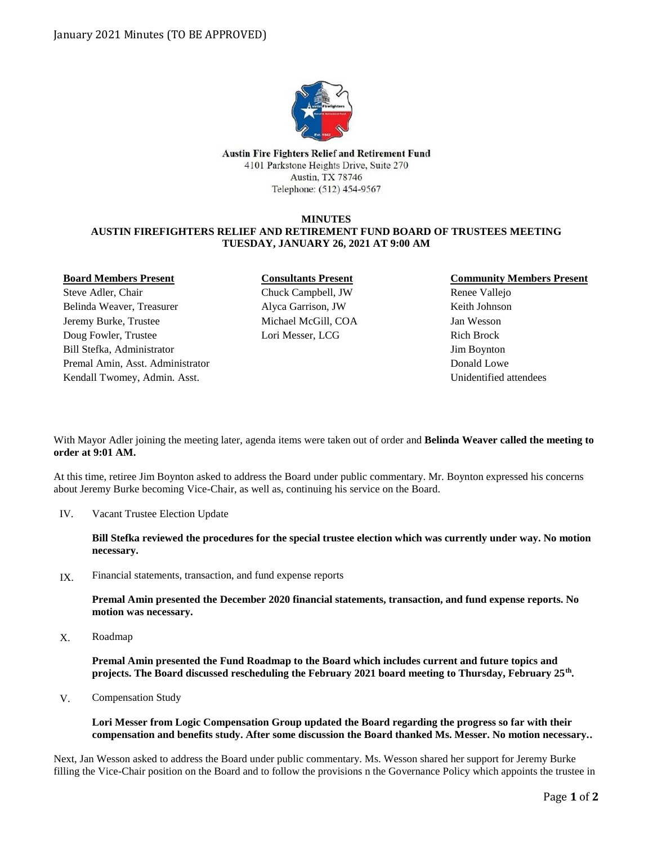

Austin Fire Fighters Relief and Retirement Fund 4101 Parkstone Heights Drive, Suite 270 Austin, TX 78746 Telephone: (512) 454-9567

### **MINUTES AUSTIN FIREFIGHTERS RELIEF AND RETIREMENT FUND BOARD OF TRUSTEES MEETING TUESDAY, JANUARY 26, 2021 AT 9:00 AM**

#### **Board Members Present**

Steve Adler, Chair Belinda Weaver, Treasurer Jeremy Burke, Trustee Doug Fowler, Trustee Bill Stefka, Administrator Premal Amin, Asst. Administrator Kendall Twomey, Admin. Asst.

# **Consultants Present** Chuck Campbell, JW Alyca Garrison, JW Michael McGill, COA Lori Messer, LCG

## **Community Members Present**

Renee Vallejo Keith Johnson Jan Wesson Rich Brock Jim Boynton Donald Lowe Unidentified attendees

With Mayor Adler joining the meeting later, agenda items were taken out of order and **Belinda Weaver called the meeting to order at 9:01 AM.**

At this time, retiree Jim Boynton asked to address the Board under public commentary. Mr. Boynton expressed his concerns about Jeremy Burke becoming Vice-Chair, as well as, continuing his service on the Board.

Vacant Trustee Election Update IV.

> **Bill Stefka reviewed the procedures for the special trustee election which was currently under way. No motion necessary.**

Financial statements, transaction, and fund expense reports IX.

> **Premal Amin presented the December 2020 financial statements, transaction, and fund expense reports. No motion was necessary.**

Roadmap X.

> **Premal Amin presented the Fund Roadmap to the Board which includes current and future topics and projects. The Board discussed rescheduling the February 2021 board meeting to Thursday, February 25th .**

Compensation Study V.

### **Lori Messer from Logic Compensation Group updated the Board regarding the progress so far with their compensation and benefits study. After some discussion the Board thanked Ms. Messer. No motion necessary..**

Next, Jan Wesson asked to address the Board under public commentary. Ms. Wesson shared her support for Jeremy Burke filling the Vice-Chair position on the Board and to follow the provisions n the Governance Policy which appoints the trustee in